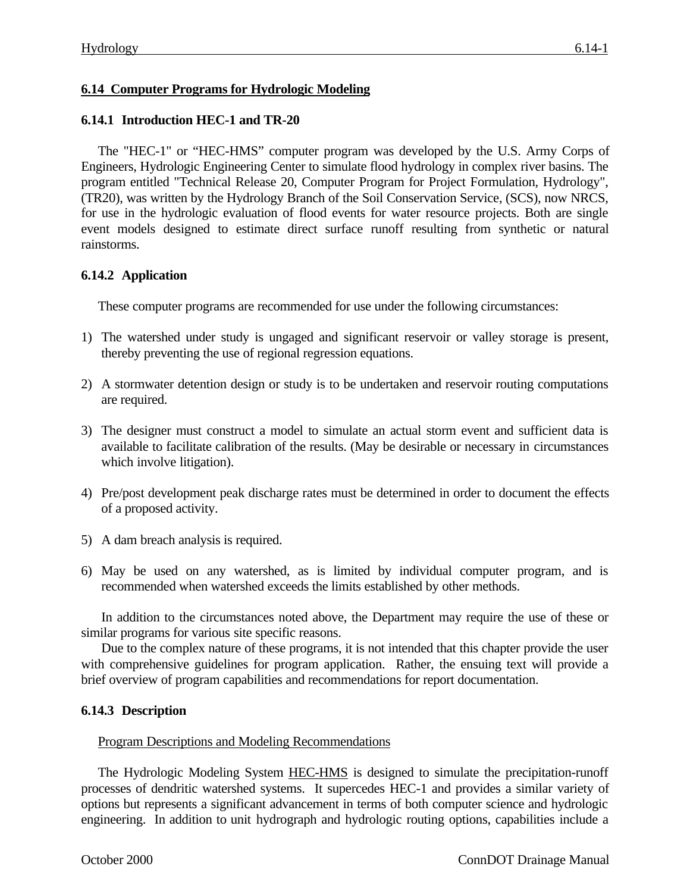# **6.14 Computer Programs for Hydrologic Modeling**

### **6.14.1 Introduction HEC-1 and TR-20**

The "HEC-1" or "HEC-HMS" computer program was developed by the U.S. Army Corps of Engineers, Hydrologic Engineering Center to simulate flood hydrology in complex river basins. The program entitled "Technical Release 20, Computer Program for Project Formulation, Hydrology", (TR20), was written by the Hydrology Branch of the Soil Conservation Service, (SCS), now NRCS, for use in the hydrologic evaluation of flood events for water resource projects. Both are single event models designed to estimate direct surface runoff resulting from synthetic or natural rainstorms.

## **6.14.2 Application**

These computer programs are recommended for use under the following circumstances:

- 1) The watershed under study is ungaged and significant reservoir or valley storage is present, thereby preventing the use of regional regression equations.
- 2) A stormwater detention design or study is to be undertaken and reservoir routing computations are required.
- 3) The designer must construct a model to simulate an actual storm event and sufficient data is available to facilitate calibration of the results. (May be desirable or necessary in circumstances which involve litigation).
- 4) Pre/post development peak discharge rates must be determined in order to document the effects of a proposed activity.
- 5) A dam breach analysis is required.
- 6) May be used on any watershed, as is limited by individual computer program, and is recommended when watershed exceeds the limits established by other methods.

In addition to the circumstances noted above, the Department may require the use of these or similar programs for various site specific reasons.

Due to the complex nature of these programs, it is not intended that this chapter provide the user with comprehensive guidelines for program application. Rather, the ensuing text will provide a brief overview of program capabilities and recommendations for report documentation.

#### **6.14.3 Description**

#### Program Descriptions and Modeling Recommendations

The Hydrologic Modeling System **HEC-HMS** is designed to simulate the precipitation-runoff processes of dendritic watershed systems. It supercedes HEC-1 and provides a similar variety of options but represents a significant advancement in terms of both computer science and hydrologic engineering. In addition to unit hydrograph and hydrologic routing options, capabilities include a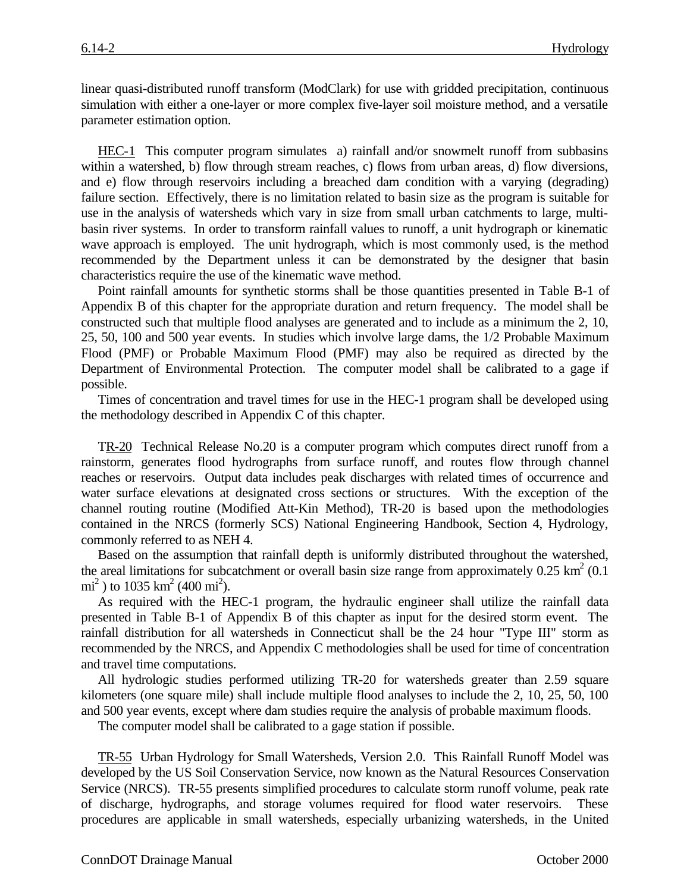linear quasi-distributed runoff transform (ModClark) for use with gridded precipitation, continuous simulation with either a one-layer or more complex five-layer soil moisture method, and a versatile parameter estimation option.

HEC-1 This computer program simulates a) rainfall and/or snowmelt runoff from subbasins within a watershed, b) flow through stream reaches, c) flows from urban areas, d) flow diversions, and e) flow through reservoirs including a breached dam condition with a varying (degrading) failure section. Effectively, there is no limitation related to basin size as the program is suitable for use in the analysis of watersheds which vary in size from small urban catchments to large, multibasin river systems. In order to transform rainfall values to runoff, a unit hydrograph or kinematic wave approach is employed. The unit hydrograph, which is most commonly used, is the method recommended by the Department unless it can be demonstrated by the designer that basin characteristics require the use of the kinematic wave method.

Point rainfall amounts for synthetic storms shall be those quantities presented in Table B-1 of Appendix B of this chapter for the appropriate duration and return frequency. The model shall be constructed such that multiple flood analyses are generated and to include as a minimum the 2, 10, 25, 50, 100 and 500 year events. In studies which involve large dams, the 1/2 Probable Maximum Flood (PMF) or Probable Maximum Flood (PMF) may also be required as directed by the Department of Environmental Protection. The computer model shall be calibrated to a gage if possible.

Times of concentration and travel times for use in the HEC-1 program shall be developed using the methodology described in Appendix C of this chapter.

TR-20 Technical Release No.20 is a computer program which computes direct runoff from a rainstorm, generates flood hydrographs from surface runoff, and routes flow through channel reaches or reservoirs. Output data includes peak discharges with related times of occurrence and water surface elevations at designated cross sections or structures. With the exception of the channel routing routine (Modified Att-Kin Method), TR-20 is based upon the methodologies contained in the NRCS (formerly SCS) National Engineering Handbook, Section 4, Hydrology, commonly referred to as NEH 4.

Based on the assumption that rainfall depth is uniformly distributed throughout the watershed, the areal limitations for subcatchment or overall basin size range from approximately  $0.25 \text{ km}^2 (0.1)$  $\text{mi}^2$ ) to 1035 km<sup>2</sup> (400 mi<sup>2</sup>).

As required with the HEC-1 program, the hydraulic engineer shall utilize the rainfall data presented in Table B-1 of Appendix B of this chapter as input for the desired storm event. The rainfall distribution for all watersheds in Connecticut shall be the 24 hour "Type III" storm as recommended by the NRCS, and Appendix C methodologies shall be used for time of concentration and travel time computations.

All hydrologic studies performed utilizing TR-20 for watersheds greater than 2.59 square kilometers (one square mile) shall include multiple flood analyses to include the 2, 10, 25, 50, 100 and 500 year events, except where dam studies require the analysis of probable maximum floods.

The computer model shall be calibrated to a gage station if possible.

TR-55 Urban Hydrology for Small Watersheds, Version 2.0. This Rainfall Runoff Model was developed by the US Soil Conservation Service, now known as the Natural Resources Conservation Service (NRCS). TR-55 presents simplified procedures to calculate storm runoff volume, peak rate of discharge, hydrographs, and storage volumes required for flood water reservoirs. These procedures are applicable in small watersheds, especially urbanizing watersheds, in the United